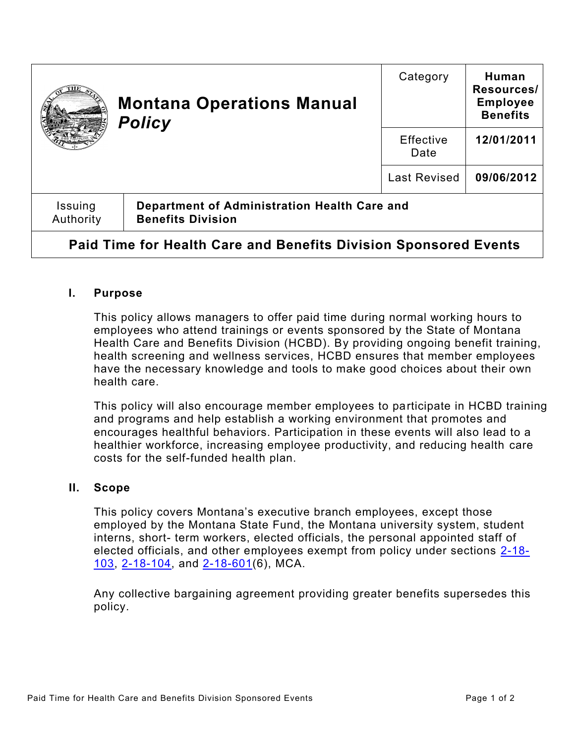| <b>Montana Operations Manual</b><br><b>Policy</b>                |                                                                          | Category                 | Human<br>Resources/<br><b>Employee</b><br><b>Benefits</b> |
|------------------------------------------------------------------|--------------------------------------------------------------------------|--------------------------|-----------------------------------------------------------|
|                                                                  |                                                                          | <b>Effective</b><br>Date | 12/01/2011                                                |
|                                                                  |                                                                          | <b>Last Revised</b>      | 09/06/2012                                                |
| Issuing<br>Authority                                             | Department of Administration Health Care and<br><b>Benefits Division</b> |                          |                                                           |
| Paid Time for Health Care and Benefits Division Sponsored Events |                                                                          |                          |                                                           |

## **I. Purpose**

This policy allows managers to offer paid time during normal working hours to employees who attend trainings or events sponsored by the State of Montana Health Care and Benefits Division (HCBD). By providing ongoing benefit training, health screening and wellness services, HCBD ensures that member employees have the necessary knowledge and tools to make good choices about their own health care.

This policy will also encourage member employees to participate in HCBD training and programs and help establish a working environment that promotes and encourages healthful behaviors. Participation in these events will also lead to a healthier workforce, increasing employee productivity, and reducing health care costs for the self-funded health plan.

## **II. Scope**

This policy covers Montana's executive branch employees, except those employed by the Montana State Fund, the Montana university system, student interns, short- term workers, elected officials, the personal appointed staff of elected officials, and other employees exempt from policy under sections [2-18-](https://leg.mt.gov/bills/mca/title_0020/chapter_0180/part_0010/section_0030/0020-0180-0010-0030.html) [103,](https://leg.mt.gov/bills/mca/title_0020/chapter_0180/part_0010/section_0030/0020-0180-0010-0030.html) [2-18-104,](https://leg.mt.gov/bills/mca/title_0020/chapter_0180/part_0010/section_0040/0020-0180-0010-0040.html) and [2-18-601\(](https://leg.mt.gov/bills/mca/title_0020/chapter_0180/part_0060/section_0010/0020-0180-0060-0010.html)6), MCA.

Any collective bargaining agreement providing greater benefits supersedes this policy.